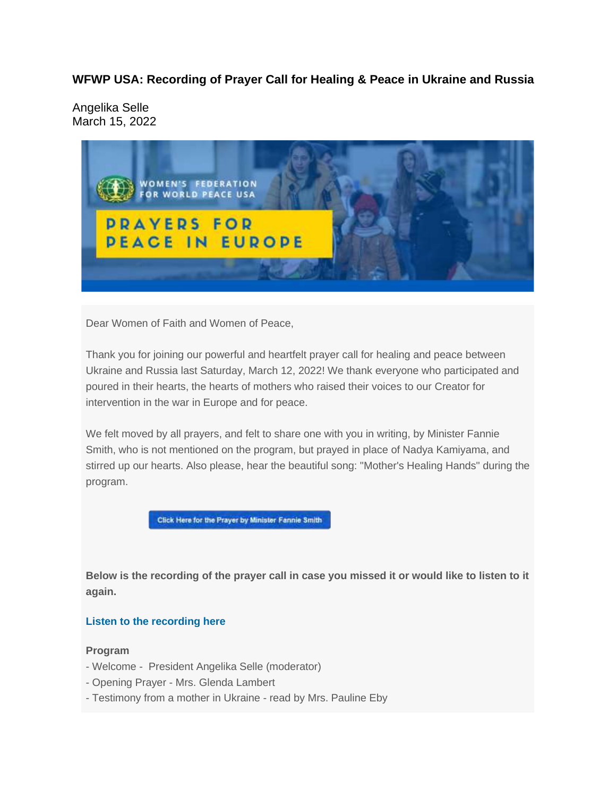**WFWP USA: Recording of Prayer Call for Healing & Peace in Ukraine and Russia**

Angelika Selle March 15, 2022



Dear Women of Faith and Women of Peace,

Thank you for joining our powerful and heartfelt prayer call for healing and peace between Ukraine and Russia last Saturday, March 12, 2022! We thank everyone who participated and poured in their hearts, the hearts of mothers who raised their voices to our Creator for intervention in the war in Europe and for peace.

We felt moved by all prayers, and felt to share one with you in writing, by Minister Fannie Smith, who is not mentioned on the program, but prayed in place of Nadya Kamiyama, and stirred up our hearts. Also please, hear the beautiful song: "Mother's Healing Hands" during the program.

Click Here for the Prayer by Minister Fannie Smith

**Below is the recording of the prayer call in case you missed it or would like to listen to it again.**

## **Listen to the recording here**

## **Program**

- Welcome President Angelika Selle (moderator)
- Opening Prayer Mrs. Glenda Lambert
- Testimony from a mother in Ukraine read by Mrs. Pauline Eby